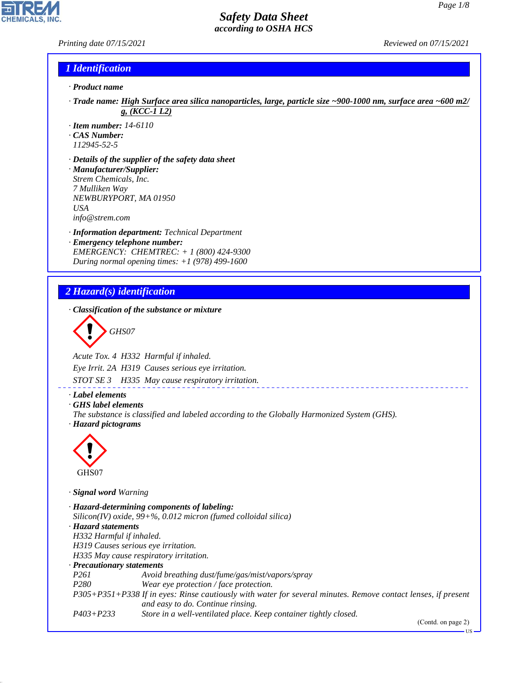## *Printing date 07/15/2021 Reviewed on 07/15/2021*

#### *1 Identification*

- *· Product name*
- *· Trade name: High Surface area silica nanoparticles, large, particle size ~900-1000 nm, surface area ~600 m2/ g, (KCC-1 L2)*
- *· Item number: 14-6110*
- *· CAS Number:*
- *112945-52-5*
- *· Details of the supplier of the safety data sheet · Manufacturer/Supplier: Strem Chemicals, Inc. 7 Mulliken Way NEWBURYPORT, MA 01950 USA info@strem.com*
- *· Information department: Technical Department · Emergency telephone number: EMERGENCY: CHEMTREC: + 1 (800) 424-9300 During normal opening times: +1 (978) 499-1600*

## *2 Hazard(s) identification*

*· Classification of the substance or mixture*

$$
\bigotimes \mathrm{GH}S07
$$

*Acute Tox. 4 H332 Harmful if inhaled.*

*Eye Irrit. 2A H319 Causes serious eye irritation.*

*STOT SE 3 H335 May cause respiratory irritation.*

#### *· Label elements*

- *· GHS label elements*
- *The substance is classified and labeled according to the Globally Harmonized System (GHS). · Hazard pictograms*



44.1.1

#### *· Signal word Warning*

```
· Hazard-determining components of labeling:
Silicon(IV) oxide, 99+%, 0.012 micron (fumed colloidal silica)
· Hazard statements
H332 Harmful if inhaled.
H319 Causes serious eye irritation.
H335 May cause respiratory irritation.
· Precautionary statements
P261 Avoid breathing dust/fume/gas/mist/vapors/spray
P280 Wear eye protection / face protection.
P305+P351+P338 If in eyes: Rinse cautiously with water for several minutes. Remove contact lenses, if present
                  and easy to do. Continue rinsing.
P403+P233 Store in a well-ventilated place. Keep container tightly closed.
```
(Contd. on page 2)

US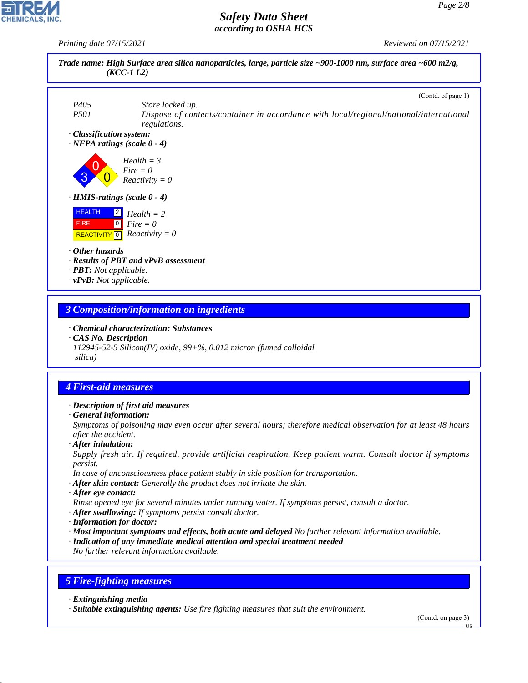*Printing date 07/15/2021 Reviewed on 07/15/2021*



# *4 First-aid measures*

- *· Description of first aid measures*
- *· General information:*

*Symptoms of poisoning may even occur after several hours; therefore medical observation for at least 48 hours after the accident.*

*· After inhalation:*

*Supply fresh air. If required, provide artificial respiration. Keep patient warm. Consult doctor if symptoms persist.*

- *In case of unconsciousness place patient stably in side position for transportation.*
- *· After skin contact: Generally the product does not irritate the skin.*
- *· After eye contact:*

*Rinse opened eye for several minutes under running water. If symptoms persist, consult a doctor.*

- *· After swallowing: If symptoms persist consult doctor.*
- *· Information for doctor:*
- *· Most important symptoms and effects, both acute and delayed No further relevant information available.*
- *· Indication of any immediate medical attention and special treatment needed*

*No further relevant information available.*

## *5 Fire-fighting measures*

*· Extinguishing media*

44.1.1

*· Suitable extinguishing agents: Use fire fighting measures that suit the environment.*

(Contd. on page 3)

US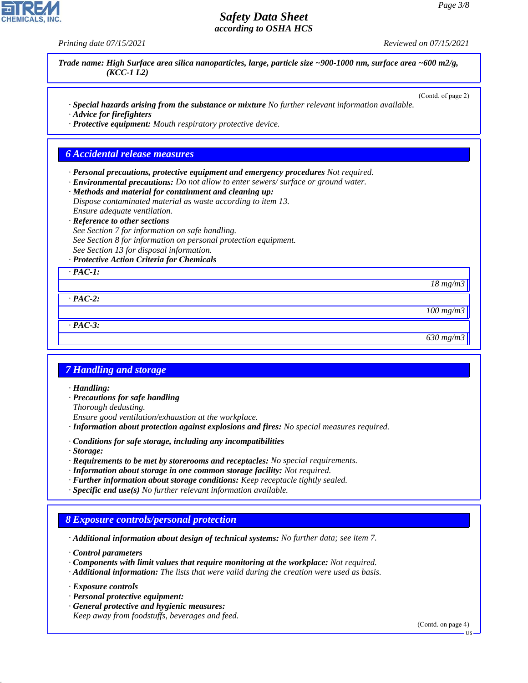*Printing date 07/15/2021 Reviewed on 07/15/2021*

*Trade name: High Surface area silica nanoparticles, large, particle size ~900-1000 nm, surface area ~600 m2/g, (KCC-1 L2)*

(Contd. of page 2)

- *· Special hazards arising from the substance or mixture No further relevant information available. · Advice for firefighters*
- *· Protective equipment: Mouth respiratory protective device.*

#### *6 Accidental release measures*

- *· Personal precautions, protective equipment and emergency procedures Not required.*
- *· Environmental precautions: Do not allow to enter sewers/ surface or ground water.*
- *· Methods and material for containment and cleaning up: Dispose contaminated material as waste according to item 13.*

*Ensure adequate ventilation.*

*· Reference to other sections*

*See Section 7 for information on safe handling.*

*See Section 8 for information on personal protection equipment.*

*See Section 13 for disposal information.*

#### *· Protective Action Criteria for Chemicals*

*· PAC-1:*

*18 mg/m3*

*· PAC-2:*

*100 mg/m3*

*· PAC-3:*

#### *630 mg/m3*

## *7 Handling and storage*

- *· Handling:*
- *· Precautions for safe handling*
- *Thorough dedusting.*
- *Ensure good ventilation/exhaustion at the workplace.*
- *· Information about protection against explosions and fires: No special measures required.*
- *· Conditions for safe storage, including any incompatibilities*
- *· Storage:*
- *· Requirements to be met by storerooms and receptacles: No special requirements.*
- *· Information about storage in one common storage facility: Not required.*
- *· Further information about storage conditions: Keep receptacle tightly sealed.*
- *· Specific end use(s) No further relevant information available.*

## *8 Exposure controls/personal protection*

*· Additional information about design of technical systems: No further data; see item 7.*

*· Control parameters*

- *· Components with limit values that require monitoring at the workplace: Not required.*
- *· Additional information: The lists that were valid during the creation were used as basis.*

*· Exposure controls*

44.1.1

- *· Personal protective equipment:*
- *· General protective and hygienic measures: Keep away from foodstuffs, beverages and feed.*

(Contd. on page 4)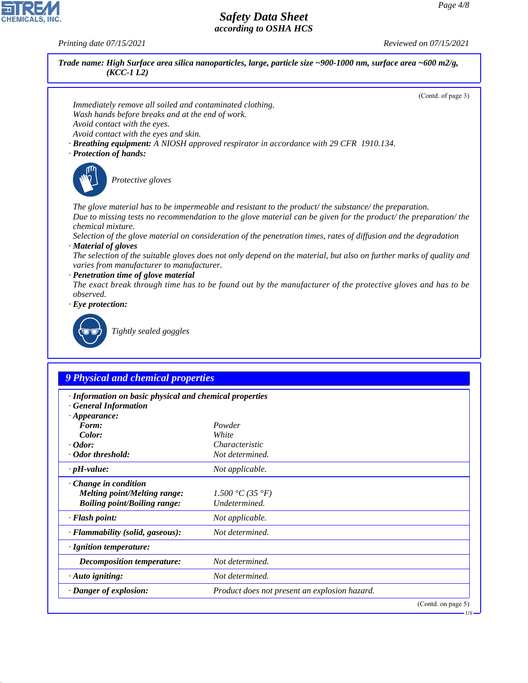*Printing date 07/15/2021 Reviewed on 07/15/2021*

44.1.1



(Contd. on page 5)

US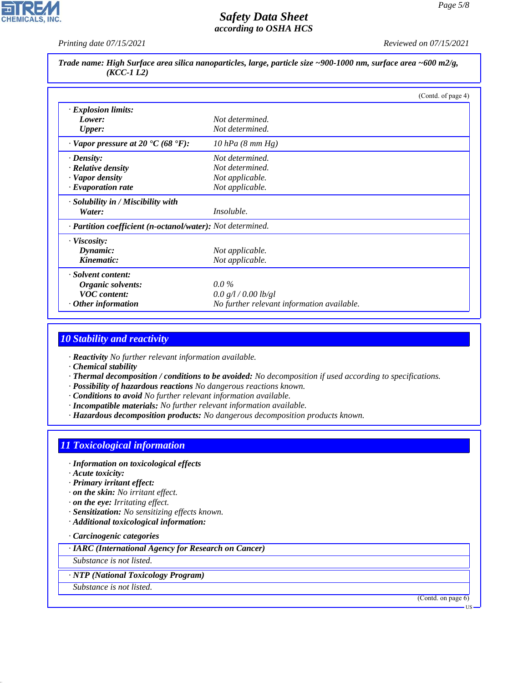

*Printing date 07/15/2021 Reviewed on 07/15/2021*

*Trade name: High Surface area silica nanoparticles, large, particle size ~900-1000 nm, surface area ~600 m2/g, (KCC-1 L2)*

|                                                            | (Contd. of page 4)                         |
|------------------------------------------------------------|--------------------------------------------|
| $\cdot$ Explosion limits:                                  |                                            |
| Lower:                                                     | Not determined.                            |
| <b>Upper:</b>                                              | Not determined.                            |
| $\cdot$ Vapor pressure at 20 $\cdot$ C (68 $\cdot$ F):     | $10$ hPa $(8$ mm Hg)                       |
| $\cdot$ Density:                                           | Not determined.                            |
| $\cdot$ Relative density                                   | Not determined.                            |
| · Vapor density                                            | Not applicable.                            |
| $\cdot$ Evaporation rate                                   | Not applicable.                            |
| · Solubility in / Miscibility with                         |                                            |
| Water:                                                     | <i>Insoluble.</i>                          |
| · Partition coefficient (n-octanol/water): Not determined. |                                            |
| $\cdot$ Viscosity:                                         |                                            |
| Dynamic:                                                   | Not applicable.                            |
| Kinematic:                                                 | Not applicable.                            |
| · Solvent content:                                         |                                            |
| Organic solvents:                                          | $0.0\%$                                    |
| <b>VOC</b> content:                                        | 0.0 g/l / 0.00 lb/gl                       |
| $\cdot$ Other information                                  | No further relevant information available. |

# *10 Stability and reactivity*

*· Reactivity No further relevant information available.*

- *· Chemical stability*
- *· Thermal decomposition / conditions to be avoided: No decomposition if used according to specifications.*
- *· Possibility of hazardous reactions No dangerous reactions known.*
- *· Conditions to avoid No further relevant information available.*
- *· Incompatible materials: No further relevant information available.*
- *· Hazardous decomposition products: No dangerous decomposition products known.*

# *11 Toxicological information*

- *· Information on toxicological effects*
- *· Acute toxicity:*
- *· Primary irritant effect:*
- *· on the skin: No irritant effect.*
- *· on the eye: Irritating effect.*
- *· Sensitization: No sensitizing effects known.*
- *· Additional toxicological information:*

#### *· Carcinogenic categories*

*· IARC (International Agency for Research on Cancer)*

*Substance is not listed.*

*· NTP (National Toxicology Program)*

*Substance is not listed.*

44.1.1

(Contd. on page 6)

US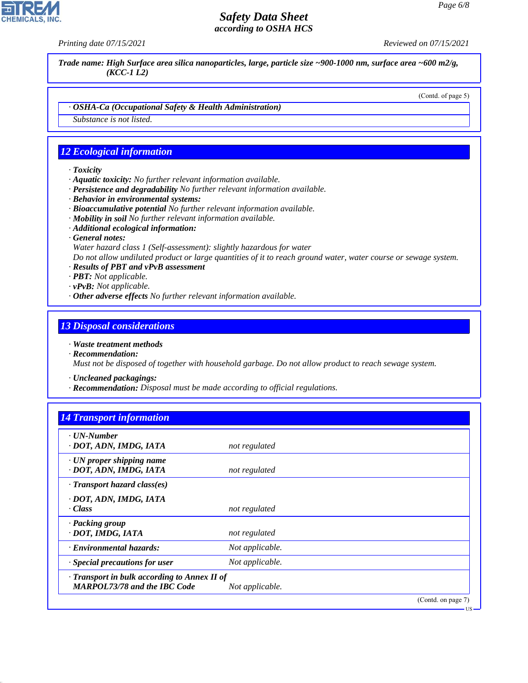*Printing date 07/15/2021 Reviewed on 07/15/2021*

*Trade name: High Surface area silica nanoparticles, large, particle size ~900-1000 nm, surface area ~600 m2/g, (KCC-1 L2)*

(Contd. of page 5)

*· OSHA-Ca (Occupational Safety & Health Administration)*

*Substance is not listed.*

# *12 Ecological information*

- *· Toxicity*
- *· Aquatic toxicity: No further relevant information available.*
- *· Persistence and degradability No further relevant information available.*
- *· Behavior in environmental systems:*
- *· Bioaccumulative potential No further relevant information available.*
- *· Mobility in soil No further relevant information available.*
- *· Additional ecological information:*
- *· General notes:*

*Water hazard class 1 (Self-assessment): slightly hazardous for water*

*Do not allow undiluted product or large quantities of it to reach ground water, water course or sewage system.*

- *· Results of PBT and vPvB assessment*
- *· PBT: Not applicable.*
- *· vPvB: Not applicable.*
- *· Other adverse effects No further relevant information available.*

## *13 Disposal considerations*

- *· Waste treatment methods*
- *· Recommendation: Must not be disposed of together with household garbage. Do not allow product to reach sewage system.*

*· Uncleaned packagings:*

*· Recommendation: Disposal must be made according to official regulations.*

| <b>14 Transport information</b> |  |  |
|---------------------------------|--|--|
|                                 |  |  |

| $\cdot$ UN-Number<br>· DOT, ADN, IMDG, IATA                                               | not regulated   |                    |
|-------------------------------------------------------------------------------------------|-----------------|--------------------|
| $\cdot$ UN proper shipping name<br>· DOT, ADN, IMDG, IATA                                 | not regulated   |                    |
| $\cdot$ Transport hazard class(es)                                                        |                 |                    |
| · DOT, ADN, IMDG, IATA<br>$\cdot Class$                                                   | not regulated   |                    |
| · Packing group<br>· DOT, IMDG, IATA                                                      | not regulated   |                    |
| · Environmental hazards:                                                                  | Not applicable. |                    |
| · Special precautions for user                                                            | Not applicable. |                    |
| $\cdot$ Transport in bulk according to Annex II of<br><b>MARPOL73/78 and the IBC Code</b> | Not applicable. |                    |
|                                                                                           |                 | (Contd. on page 7) |



44.1.1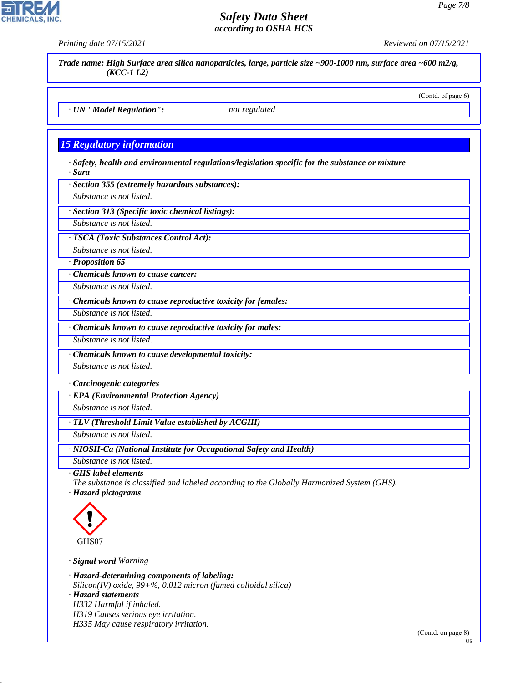*Trade name: High Surface area silica nanoparticles, large, particle size ~900-1000 nm, surface area ~600 m2/g, (KCC-1 L2)*

(Contd. of page 6)

*· UN "Model Regulation": not regulated*

# *15 Regulatory information*

*· Safety, health and environmental regulations/legislation specific for the substance or mixture · Sara*

*· Section 355 (extremely hazardous substances):*

*Substance is not listed.*

*· Section 313 (Specific toxic chemical listings):*

*Substance is not listed.*

*· TSCA (Toxic Substances Control Act):*

*Substance is not listed.*

*· Proposition 65*

*· Chemicals known to cause cancer:*

*Substance is not listed.*

*· Chemicals known to cause reproductive toxicity for females:*

*Substance is not listed.*

*· Chemicals known to cause reproductive toxicity for males:*

*Substance is not listed.*

*· Chemicals known to cause developmental toxicity:*

*Substance is not listed.*

*· Carcinogenic categories*

*· EPA (Environmental Protection Agency)*

*Substance is not listed.*

*· TLV (Threshold Limit Value established by ACGIH)*

*Substance is not listed.*

*· NIOSH-Ca (National Institute for Occupational Safety and Health)*

*Substance is not listed.*

*· GHS label elements*

*The substance is classified and labeled according to the Globally Harmonized System (GHS).*

*· Hazard pictograms*



44.1.1

*· Signal word Warning*

*· Hazard-determining components of labeling: Silicon(IV) oxide, 99+%, 0.012 micron (fumed colloidal silica) · Hazard statements H332 Harmful if inhaled. H319 Causes serious eye irritation.*

*H335 May cause respiratory irritation.*





*Printing date 07/15/2021 Reviewed on 07/15/2021*